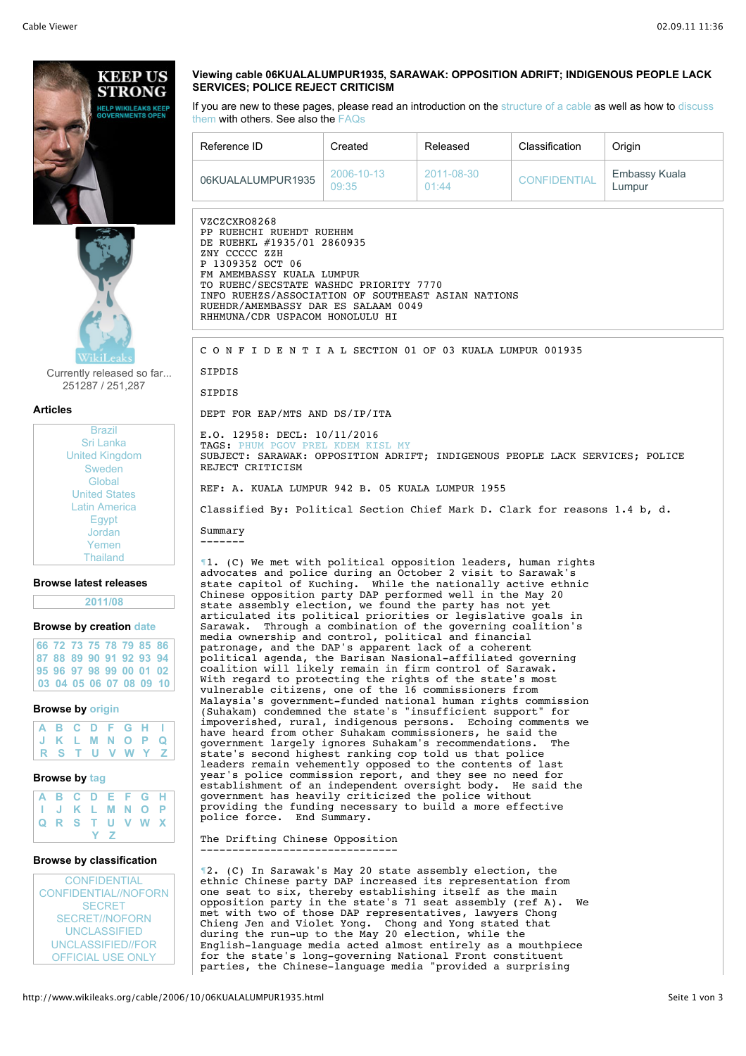

Currently released so far... 251287 / 251,287

**Articles**

| <b>Brazil</b>         |
|-----------------------|
| Sri Lanka             |
| <b>United Kingdom</b> |
| Sweden                |
| Global                |
| <b>United States</b>  |
| Latin America         |
| Egypt                 |
| Jordan                |
| Yemen                 |
| <b>Thailand</b>       |

#### **Browse latest releases**

### **2011/08**

# **Browse by creation date**

|  |  |  | 66 72 73 75 78 79 85 86                   |
|--|--|--|-------------------------------------------|
|  |  |  | 87 88 89 90 91 92 93 94                   |
|  |  |  | 95 96 97 98 99 00 01 02                   |
|  |  |  | $ 03 \t04 \t05 \t06 \t07 \t08 \t09 \t10 $ |

### **Browse by origin**

| A B C D F G H I |  |  |  |  |
|-----------------|--|--|--|--|
| J K L M N O P Q |  |  |  |  |
| R S T U V W Y Z |  |  |  |  |

#### **Browse by tag**

|  |  |     | A B C D E F G H<br>I J K L M N O P<br>Q R S T U V W X |  |
|--|--|-----|-------------------------------------------------------|--|
|  |  |     |                                                       |  |
|  |  |     |                                                       |  |
|  |  | Y Z |                                                       |  |

# **Browse by classification**

**CONFIDENTIAL** CONFIDENTIAL//NOFORN **SECRET** SECRET//NOFORN UNCLASSIFIED UNCLASSIFIED//FOR OFFICIAL USE ONLY

## **Viewing cable 06KUALALUMPUR1935, SARAWAK: OPPOSITION ADRIFT; INDIGENOUS PEOPLE LACK SERVICES; POLICE REJECT CRITICISM**

If you are new to these pages, please read an introduction on the structure of a cable as well as how to discuss them with others. See also the FAQs

| Reference ID      | Created             | Released            | Classification      | Origin                  |
|-------------------|---------------------|---------------------|---------------------|-------------------------|
| 06KUALALUMPUR1935 | 2006-10-13<br>09:35 | 2011-08-30<br>01:44 | <b>CONFIDENTIAL</b> | Embassy Kuala<br>Lumpur |

VZCZCXRO8268 PP RUEHCHI RUEHDT RUEHHM DE RUEHKL #1935/01 2860935 ZNY CCCCC ZZH P 130935Z OCT 06 FM AMEMBASSY KUALA LUMPUR TO RUEHC/SECSTATE WASHDC PRIORITY 7770 INFO RUEHZS/ASSOCIATION OF SOUTHEAST ASIAN NATIONS RUEHDR/AMEMBASSY DAR ES SALAAM 0049 RHHMUNA/CDR USPACOM HONOLULU HI

C O N F I D E N T I A L SECTION 01 OF 03 KUALA LUMPUR 001935

# **SIPDIS SIPDIS**

DEPT FOR EAP/MTS AND DS/IP/ITA

E.O. 12958: DECL: 10/11/2016 TAGS: PHUM PGOV PREL KDEM KISL MY SUBJECT: SARAWAK: OPPOSITION ADRIFT; INDIGENOUS PEOPLE LACK SERVICES; POLICE REJECT CRITICISM

REF: A. KUALA LUMPUR 942 B. 05 KUALA LUMPUR 1955

Classified By: Political Section Chief Mark D. Clark for reasons 1.4 b, d.

Summary -------

¶1. (C) We met with political opposition leaders, human rights advocates and police during an October 2 visit to Sarawak's state capitol of Kuching. While the nationally active ethnic Chinese opposition party DAP performed well in the May 20 state assembly election, we found the party has not yet articulated its political priorities or legislative goals in Sarawak. Through a combination of the governing coalition's media ownership and control, political and financial patronage, and the DAP's apparent lack of a coherent political agenda, the Barisan Nasional-affiliated governing coalition will likely remain in firm control of Sarawak. With regard to protecting the rights of the state's most vulnerable citizens, one of the 16 commissioners from Malaysia's government-funded national human rights commission (Suhakam) condemned the state's "insufficient support" for impoverished, rural, indigenous persons. Echoing comments we have heard from other Suhakam commissioners, he said the government largely ignores Suhakam's recommendations. The state's second highest ranking cop told us that police leaders remain vehemently opposed to the contents of last year's police commission report, and they see no need for establishment of an independent oversight body. He said the government has heavily criticized the police without providing the funding necessary to build a more effective police force. End Summary.

#### The Drifting Chinese Opposition -------------------------------

¶2. (C) In Sarawak's May 20 state assembly election, the ethnic Chinese party DAP increased its representation from one seat to six, thereby establishing itself as the main opposition party in the state's 71 seat assembly (ref A). We met with two of those DAP representatives, lawyers Chong Chieng Jen and Violet Yong. Chong and Yong stated that during the run-up to the May 20 election, while the English-language media acted almost entirely as a mouthpiece for the state's long-governing National Front constituent parties, the Chinese-language media "provided a surprising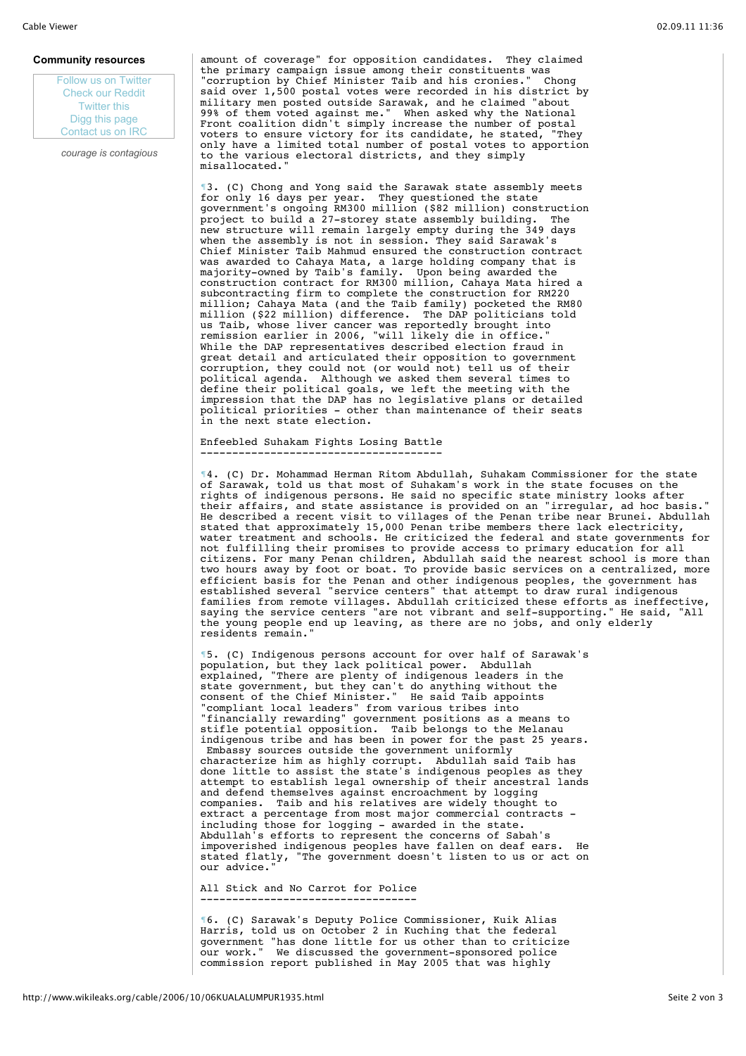### **Community resources**

Follow us on Twitter Check our Reddit Twitter this Digg this page Contact us on IRC

*courage is contagious*

amount of coverage" for opposition candidates. They claimed the primary campaign issue among their constituents was "corruption by Chief Minister Taib and his cronies." Chong said over 1,500 postal votes were recorded in his district by military men posted outside Sarawak, and he claimed "about 99% of them voted against me." When asked why the National Front coalition didn't simply increase the number of postal voters to ensure victory for its candidate, he stated, "They only have a limited total number of postal votes to apportion to the various electoral districts, and they simply misallocated."

¶3. (C) Chong and Yong said the Sarawak state assembly meets for only 16 days per year. They questioned the state government's ongoing RM300 million (\$82 million) construction project to build a 27-storey state assembly building. The new structure will remain largely empty during the 349 days when the assembly is not in session. They said Sarawak's Chief Minister Taib Mahmud ensured the construction contract was awarded to Cahaya Mata, a large holding company that is majority-owned by Taib's family. Upon being awarded the construction contract for RM300 million, Cahaya Mata hired a subcontracting firm to complete the construction for RM220 million; Cahaya Mata (and the Taib family) pocketed the RM80 million (\$22 million) difference. The DAP politicians told us Taib, whose liver cancer was reportedly brought into remission earlier in 2006, "will likely die in office." While the DAP representatives described election fraud in great detail and articulated their opposition to government corruption, they could not (or would not) tell us of their political agenda. Although we asked them several times to define their political goals, we left the meeting with the impression that the DAP has no legislative plans or detailed political priorities - other than maintenance of their seats in the next state election.

Enfeebled Suhakam Fights Losing Battle --------------------------------------

¶4. (C) Dr. Mohammad Herman Ritom Abdullah, Suhakam Commissioner for the state of Sarawak, told us that most of Suhakam's work in the state focuses on the rights of indigenous persons. He said no specific state ministry looks after their affairs, and state assistance is provided on an "irregular, ad hoc basis." He described a recent visit to villages of the Penan tribe near Brunei. Abdullah stated that approximately 15,000 Penan tribe members there lack electricity, water treatment and schools. He criticized the federal and state governments for not fulfilling their promises to provide access to primary education for all citizens. For many Penan children, Abdullah said the nearest school is more than two hours away by foot or boat. To provide basic services on a centralized, more efficient basis for the Penan and other indigenous peoples, the government has established several "service centers" that attempt to draw rural indigenous families from remote villages. Abdullah criticized these efforts as ineffective, saying the service centers "are not vibrant and self-supporting." He said, "All the young people end up leaving, as there are no jobs, and only elderly residents remain."

¶5. (C) Indigenous persons account for over half of Sarawak's population, but they lack political power. Abdullah explained, "There are plenty of indigenous leaders in the state government, but they can't do anything without the consent of the Chief Minister." He said Taib appoints "compliant local leaders" from various tribes into "financially rewarding" government positions as a means to stifle potential opposition. Taib belongs to the Melanau indigenous tribe and has been in power for the past 25 years. Embassy sources outside the government uniformly characterize him as highly corrupt. Abdullah said Taib has done little to assist the state's indigenous peoples as they attempt to establish legal ownership of their ancestral lands and defend themselves against encroachment by logging companies. Taib and his relatives are widely thought to extract a percentage from most major commercial contracts including those for logging - awarded in the state. Abdullah's efforts to represent the concerns of Sabah's impoverished indigenous peoples have fallen on deaf ears. He stated flatly, "The government doesn't listen to us or act on our advice."

All Stick and No Carrot for Police ----------------------------------

¶6. (C) Sarawak's Deputy Police Commissioner, Kuik Alias Harris, told us on October 2 in Kuching that the federal government "has done little for us other than to criticize our work." We discussed the government-sponsored police commission report published in May 2005 that was highly